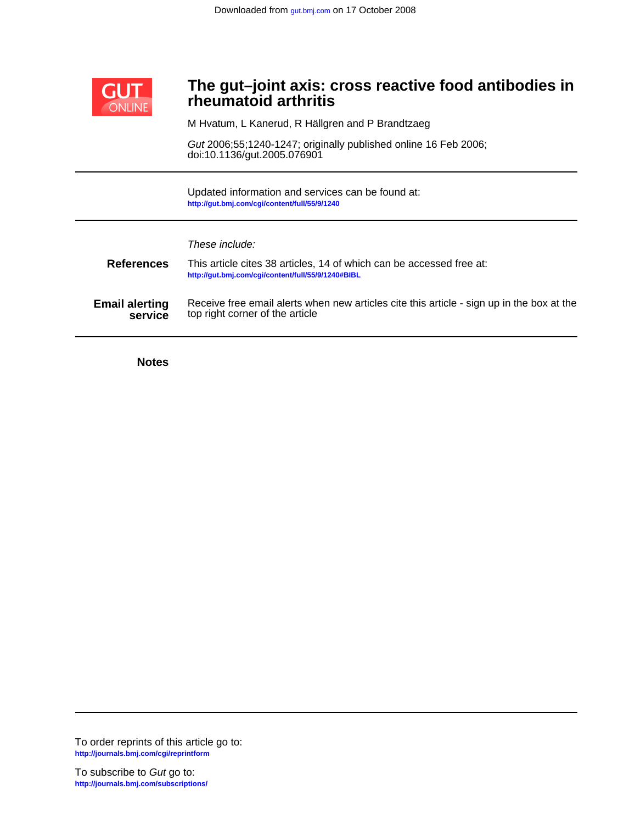

# **rheumatoid arthritis The gut–joint axis: cross reactive food antibodies in**

M Hvatum, L Kanerud, R Hällgren and P Brandtzaeg

doi:10.1136/gut.2005.076901 Gut 2006;55;1240-1247; originally published online 16 Feb 2006;

**<http://gut.bmj.com/cgi/content/full/55/9/1240>** Updated information and services can be found at:

These include:

| <b>References</b>     | This article cites 38 articles, 14 of which can be accessed free at:<br>http://gut.bmj.com/cgi/content/full/55/9/1240#BIBL |
|-----------------------|----------------------------------------------------------------------------------------------------------------------------|
| <b>Email alerting</b> | Receive free email alerts when new articles cite this article - sign up in the box at the                                  |
| service               | top right corner of the article                                                                                            |

**Notes**

**<http://journals.bmj.com/cgi/reprintform>** To order reprints of this article go to: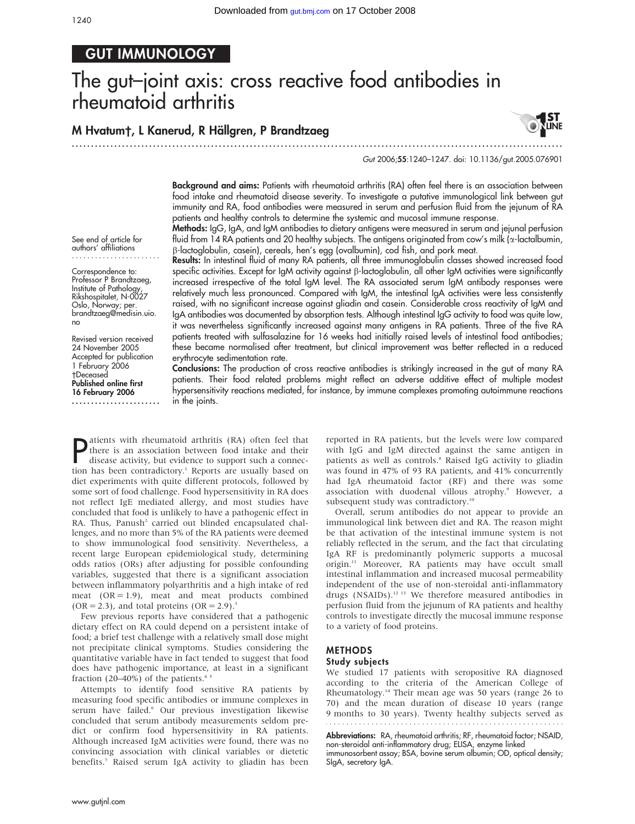# GUT IMMUNOLOGY

# The gut–joint axis: cross reactive food antibodies in rheumatoid arthritis

............................................................... ............................................................... .

# M Hvatum†, L Kanerud, R Hällgren, P Brandtzaeg



Gut 2006;55:1240–1247. doi: 10.1136/gut.2005.076901

Background and aims: Patients with rheumatoid arthritis (RA) often feel there is an association between food intake and rheumatoid disease severity. To investigate a putative immunological link between gut immunity and RA, food antibodies were measured in serum and perfusion fluid from the jejunum of RA patients and healthy controls to determine the systemic and mucosal immune response.

Methods: IgG, IgA, and IgM antibodies to dietary antigens were measured in serum and jejunal perfusion fluid from 14 RA patients and 20 healthy subjects. The antigens originated from cow's milk (a-lactalbumin, b-lactoglobulin, casein), cereals, hen's egg (ovalbumin), cod fish, and pork meat.

Results: In intestinal fluid of many RA patients, all three immunoglobulin classes showed increased food specific activities. Except for IgM activity against  $\beta$ -lactoglobulin, all other IgM activities were significantly increased irrespective of the total IgM level. The RA associated serum IgM antibody responses were relatively much less pronounced. Compared with IgM, the intestinal IgA activities were less consistently raised, with no significant increase against gliadin and casein. Considerable cross reactivity of IgM and IgA antibodies was documented by absorption tests. Although intestinal IgG activity to food was quite low, it was nevertheless significantly increased against many antigens in RA patients. Three of the five RA patients treated with sulfasalazine for 16 weeks had initially raised levels of intestinal food antibodies; these became normalised after treatment, but clinical improvement was better reflected in a reduced erythrocyte sedimentation rate.

Conclusions: The production of cross reactive antibodies is strikingly increased in the gut of many RA patients. Their food related problems might reflect an adverse additive effect of multiple modest hypersensitivity reactions mediated, for instance, by immune complexes promoting autoimmune reactions in the joints.

**P** atients with rheumatoid arthritis (RA) often feel that their disease activity, but evidence to support such a connection has been contradictory  $\frac{1}{2}$  Penorts are usually based on there is an association between food intake and their disease activity, but evidence to support such a connection has been contradictory.<sup>1</sup> Reports are usually based on diet experiments with quite different protocols, followed by some sort of food challenge. Food hypersensitivity in RA does not reflect IgE mediated allergy, and most studies have concluded that food is unlikely to have a pathogenic effect in RA. Thus, Panush<sup>2</sup> carried out blinded encapsulated challenges, and no more than 5% of the RA patients were deemed to show immunological food sensitivity. Nevertheless, a recent large European epidemiological study, determining odds ratios (ORs) after adjusting for possible confounding variables, suggested that there is a significant association between inflammatory polyarthritis and a high intake of red meat  $(OR = 1.9)$ , meat and meat products combined  $(OR = 2.3)$ , and total proteins  $(OR = 2.9)^3$ 

Few previous reports have considered that a pathogenic dietary effect on RA could depend on a persistent intake of food; a brief test challenge with a relatively small dose might not precipitate clinical symptoms. Studies considering the quantitative variable have in fact tended to suggest that food does have pathogenic importance, at least in a significant fraction (20–40%) of the patients. $4.5$ 

Attempts to identify food sensitive RA patients by measuring food specific antibodies or immune complexes in serum have failed.<sup>6</sup> Our previous investigation likewise concluded that serum antibody measurements seldom predict or confirm food hypersensitivity in RA patients. Although increased IgM activities were found, there was no convincing association with clinical variables or dietetic benefits.7 Raised serum IgA activity to gliadin has been reported in RA patients, but the levels were low compared with IgG and IgM directed against the same antigen in patients as well as controls.<sup>8</sup> Raised IgG activity to gliadin was found in 47% of 93 RA patients, and 41% concurrently had IgA rheumatoid factor (RF) and there was some association with duodenal villous atrophy.<sup>9</sup> However, a subsequent study was contradictory.<sup>10</sup>

Overall, serum antibodies do not appear to provide an immunological link between diet and RA. The reason might be that activation of the intestinal immune system is not reliably reflected in the serum, and the fact that circulating IgA RF is predominantly polymeric supports a mucosal origin.11 Moreover, RA patients may have occult small intestinal inflammation and increased mucosal permeability independent of the use of non-steroidal anti-inflammatory drugs (NSAIDs).12 13 We therefore measured antibodies in perfusion fluid from the jejunum of RA patients and healthy controls to investigate directly the mucosal immune response to a variety of food proteins.

# METHODS Study subjects

We studied 17 patients with seropositive RA diagnosed according to the criteria of the American College of Rheumatology.14 Their mean age was 50 years (range 26 to 70) and the mean duration of disease 10 years (range 9 months to 30 years). Twenty healthy subjects served as 

Abbreviations: RA, rheumatoid arthritis; RF, rheumatoid factor; NSAID, non-steroidal anti-inflammatory drug; ELISA, enzyme linked immunosorbent assay; BSA, bovine serum albumin; OD, optical density; SIgA, secretory IgA.

See end of article for authors' affiliations .......................

Correspondence to: Professor P Brandtzaeg, Institute of Pathology, Rikshospitalet, N-0027 Oslo, Norway; per. brandtzaeg@medisin.uio. no

Revised version received 24 November 2005 Accepted for publication 1 February 2006 Deceased Published online first 16 February 2006 .......................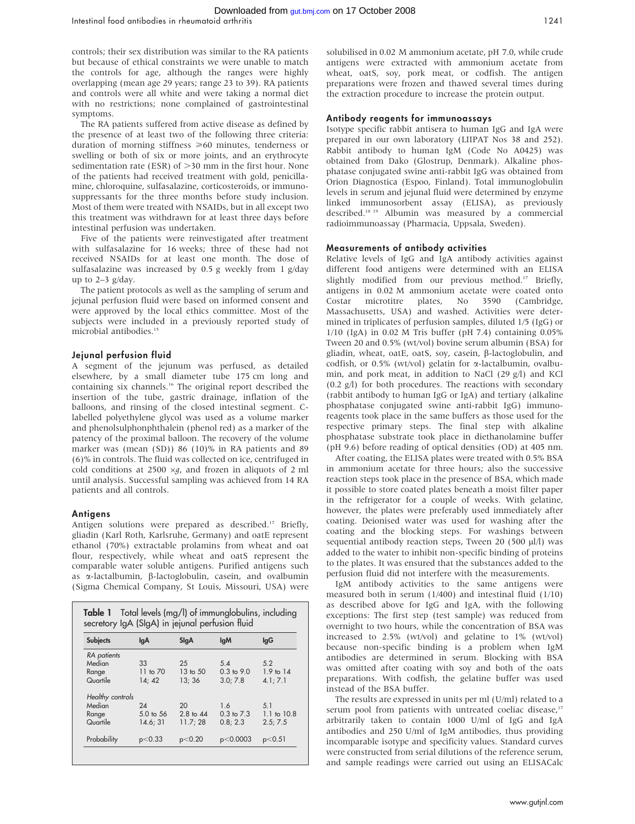controls; their sex distribution was similar to the RA patients but because of ethical constraints we were unable to match the controls for age, although the ranges were highly overlapping (mean age 29 years; range 23 to 39). RA patients and controls were all white and were taking a normal diet with no restrictions; none complained of gastrointestinal symptoms.

The RA patients suffered from active disease as defined by the presence of at least two of the following three criteria: duration of morning stiffness  $\geq 60$  minutes, tenderness or swelling or both of six or more joints, and an erythrocyte sedimentation rate (ESR) of  $>$ 30 mm in the first hour. None of the patients had received treatment with gold, penicillamine, chloroquine, sulfasalazine, corticosteroids, or immunosuppressants for the three months before study inclusion. Most of them were treated with NSAIDs, but in all except two this treatment was withdrawn for at least three days before intestinal perfusion was undertaken.

Five of the patients were reinvestigated after treatment with sulfasalazine for 16 weeks; three of these had not received NSAIDs for at least one month. The dose of sulfasalazine was increased by 0.5 g weekly from 1 g/day up to  $2-3$  g/day.

The patient protocols as well as the sampling of serum and jejunal perfusion fluid were based on informed consent and were approved by the local ethics committee. Most of the subjects were included in a previously reported study of microbial antibodies.<sup>15</sup>

## Jejunal perfusion fluid

A segment of the jejunum was perfused, as detailed elsewhere, by a small diameter tube 175 cm long and containing six channels.<sup>16</sup> The original report described the insertion of the tube, gastric drainage, inflation of the balloons, and rinsing of the closed intestinal segment. Clabelled polyethylene glycol was used as a volume marker and phenolsulphonphthalein (phenol red) as a marker of the patency of the proximal balloon. The recovery of the volume marker was (mean (SD)) 86 (10)% in RA patients and 89 (6)% in controls. The fluid was collected on ice, centrifuged in cold conditions at 2500  $\times$ g, and frozen in aliquots of 2 ml until analysis. Successful sampling was achieved from 14 RA patients and all controls.

### **Antigens**

Antigen solutions were prepared as described.<sup>17</sup> Briefly, gliadin (Karl Roth, Karlsruhe, Germany) and oatE represent ethanol (70%) extractable prolamins from wheat and oat flour, respectively, while wheat and oatS represent the comparable water soluble antigens. Purified antigens such as a-lactalbumin, b-lactoglobulin, casein, and ovalbumin (Sigma Chemical Company, St Louis, Missouri, USA) were

| <b>Subjects</b>  | lqA                  | SlgA      | <b>IgM</b>     | lgG             |
|------------------|----------------------|-----------|----------------|-----------------|
| RA patients      |                      |           |                |                 |
| Median           | 33                   | 25        | $5\Delta$      | 5.2             |
| Range            | 11 to $70$           | 13 to 50  | $0.3$ to $9.0$ | $1.9$ to $14$   |
| Quartile         | 14:42                | 13:36     | 3.0:7.8        | 4.1:7.1         |
| Healthy controls |                      |           |                |                 |
| Median           | 24                   | 20        | 1.6            | 51              |
| Range            | $5.0 \text{ to } 56$ | 2.8 to 44 | $0.3$ to $7.3$ | $1.1$ to $10.8$ |
| Quartile         | 14.6; 31             | 11.7;28   | 0.8:2.3        | 2.5:7.5         |

solubilised in 0.02 M ammonium acetate, pH 7.0, while crude antigens were extracted with ammonium acetate from wheat, oatS, soy, pork meat, or codfish. The antigen preparations were frozen and thawed several times during the extraction procedure to increase the protein output.

# Antibody reagents for immunoassays

Isotype specific rabbit antisera to human IgG and IgA were prepared in our own laboratory (LIIPAT Nos 38 and 252). Rabbit antibody to human IgM (Code No A0425) was obtained from Dako (Glostrup, Denmark). Alkaline phosphatase conjugated swine anti-rabbit IgG was obtained from Orion Diagnostica (Espoo, Finland). Total immunoglobulin levels in serum and jejunal fluid were determined by enzyme linked immunosorbent assay (ELISA), as previously described.18 19 Albumin was measured by a commercial radioimmunoassay (Pharmacia, Uppsala, Sweden).

# Measurements of antibody activities

Relative levels of IgG and IgA antibody activities against different food antigens were determined with an ELISA slightly modified from our previous method.<sup>17</sup> Briefly, antigens in 0.02 M ammonium acetate were coated onto Costar microtitre plates, No 3590 (Cambridge, Massachusetts, USA) and washed. Activities were determined in triplicates of perfusion samples, diluted 1/5 (IgG) or 1/10 (IgA) in 0.02 M Tris buffer (pH 7.4) containing 0.05% Tween 20 and 0.5% (wt/vol) bovine serum albumin (BSA) for gliadin, wheat, oatE, oatS, soy, casein, β-lactoglobulin, and codfish, or 0.5% (wt/vol) gelatin for  $\alpha$ -lactalbumin, ovalbumin, and pork meat, in addition to NaCl (29 g/l) and KCl (0.2 g/l) for both procedures. The reactions with secondary (rabbit antibody to human IgG or IgA) and tertiary (alkaline phosphatase conjugated swine anti-rabbit IgG) immunoreagents took place in the same buffers as those used for the respective primary steps. The final step with alkaline phosphatase substrate took place in diethanolamine buffer (pH 9.6) before reading of optical densities (OD) at 405 nm.

After coating, the ELISA plates were treated with 0.5% BSA in ammonium acetate for three hours; also the successive reaction steps took place in the presence of BSA, which made it possible to store coated plates beneath a moist filter paper in the refrigerator for a couple of weeks. With gelatine, however, the plates were preferably used immediately after coating. Deionised water was used for washing after the coating and the blocking steps. For washings between sequential antibody reaction steps, Tween 20 (500 µl/l) was added to the water to inhibit non-specific binding of proteins to the plates. It was ensured that the substances added to the perfusion fluid did not interfere with the measurements.

IgM antibody activities to the same antigens were measured both in serum (1/400) and intestinal fluid (1/10) as described above for IgG and IgA, with the following exceptions: The first step (test sample) was reduced from overnight to two hours, while the concentration of BSA was increased to 2.5% (wt/vol) and gelatine to 1% (wt/vol) because non-specific binding is a problem when IgM antibodies are determined in serum. Blocking with BSA was omitted after coating with soy and both of the oats preparations. With codfish, the gelatine buffer was used instead of the BSA buffer.

The results are expressed in units per ml (U/ml) related to a serum pool from patients with untreated coeliac disease,<sup>17</sup> arbitrarily taken to contain 1000 U/ml of IgG and IgA antibodies and 250 U/ml of IgM antibodies, thus providing incomparable isotype and specificity values. Standard curves were constructed from serial dilutions of the reference serum, and sample readings were carried out using an ELISACalc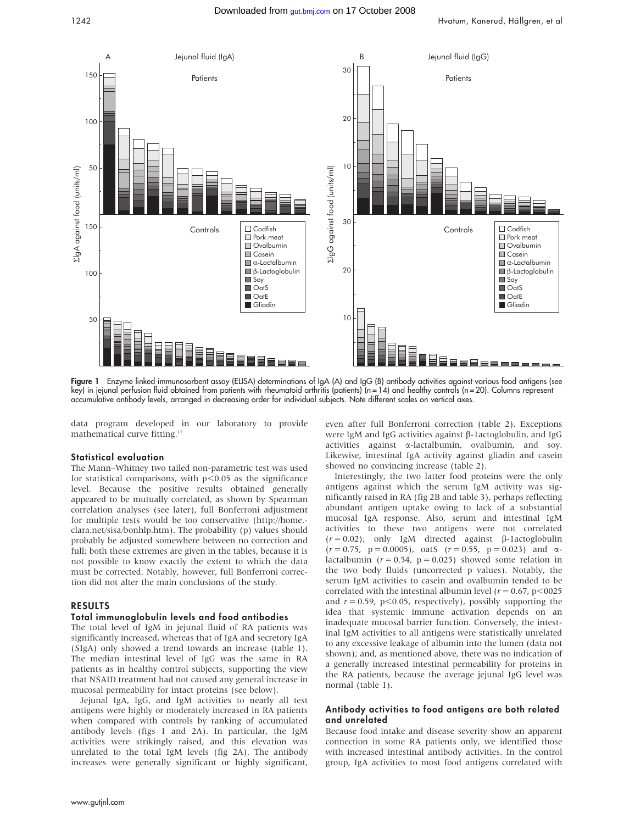

Figure 1 Enzyme linked immunosorbent assay (ELISA) determinations of IgA (A) and IgG (B) antibody activities against various food antigens (see key) in jejunal perfusion fluid obtained from patients with rheumatoid arthritis (patients) (n = 14) and healthy controls (n = 20). Columns represent accumulative antibody levels, arranged in decreasing order for individual subjects. Note different scales on vertical axes.

data program developed in our laboratory to provide mathematical curve fitting.<sup>17</sup>

#### Statistical evaluation

The Mann–Whitney two tailed non-parametric test was used for statistical comparisons, with  $p<0.05$  as the significance level. Because the positive results obtained generally appeared to be mutually correlated, as shown by Spearman correlation analyses (see later), full Bonferroni adjustment for multiple tests would be too conservative (http://home. clara.net/sisa/bonhlp.htm). The probability (p) values should probably be adjusted somewhere between no correction and full; both these extremes are given in the tables, because it is not possible to know exactly the extent to which the data must be corrected. Notably, however, full Bonferroni correction did not alter the main conclusions of the study.

### RESULTS

### Total immunoglobulin levels and food antibodies

The total level of IgM in jejunal fluid of RA patients was significantly increased, whereas that of IgA and secretory IgA (SIgA) only showed a trend towards an increase (table 1). The median intestinal level of IgG was the same in RA patients as in healthy control subjects, supporting the view that NSAID treatment had not caused any general increase in mucosal permeability for intact proteins (see below).

Jejunal IgA, IgG, and IgM activities to nearly all test antigens were highly or moderately increased in RA patients when compared with controls by ranking of accumulated antibody levels (figs 1 and 2A). In particular, the IgM activities were strikingly raised, and this elevation was unrelated to the total IgM levels (fig 2A). The antibody increases were generally significant or highly significant,

even after full Bonferroni correction (table 2). Exceptions were IgM and IgG activities against  $\beta$ -lactoglobulin, and IgG activities against a-lactalbumin, ovalbumin, and soy. Likewise, intestinal IgA activity against gliadin and casein showed no convincing increase (table 2).

Interestingly, the two latter food proteins were the only antigens against which the serum IgM activity was significantly raised in RA (fig 2B and table 3), perhaps reflecting abundant antigen uptake owing to lack of a substantial mucosal IgA response. Also, serum and intestinal IgM activities to these two antigens were not correlated  $(r = 0.02)$ ; only IgM directed against  $\beta$ -1actoglobulin  $(r = 0.75, p = 0.0005)$ , oatS  $(r = 0.55, p = 0.023)$  and  $\alpha$ lactalbumin ( $r = 0.54$ ,  $p = 0.025$ ) showed some relation in the two body fluids (uncorrected p values). Notably, the serum IgM activities to casein and ovalbumin tended to be correlated with the intestinal albumin level ( $r = 0.67$ , p<0025 and  $r = 0.59$ , p $\leq 0.05$ , respectively), possibly supporting the idea that systemic immune activation depends on an inadequate mucosal barrier function. Conversely, the intestinal IgM activities to all antigens were statistically unrelated to any excessive leakage of albumin into the lumen (data not shown); and, as mentioned above, there was no indication of a generally increased intestinal permeability for proteins in the RA patients, because the average jejunal IgG level was normal (table 1).

# Antibody activities to food antigens are both related and unrelated

Because food intake and disease severity show an apparent connection in some RA patients only, we identified those with increased intestinal antibody activities. In the control group, IgA activities to most food antigens correlated with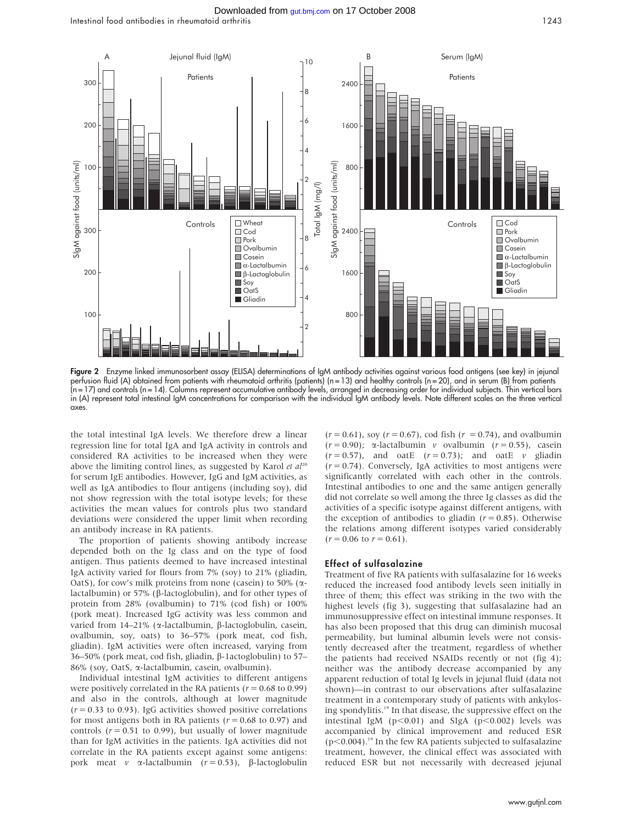Intestinal food antibodies in rheumatoid arthritis 1243



Figure 2 Enzyme linked immunosorbent assay (ELISA) determinations of IgM antibody activities against various food antigens (see key) in jejunal perfusion fluid (A) obtained from patients with rheumatoid arthritis (patients) (n = 13) and healthy controls (n = 20), and in serum (B) from patients (n = 17) and controls (n = 14). Columns represent accumulative antibody levels, arranged in decreasing order for individual subjects. Thin vertical bars in (A) represent total intestinal IgM concentrations for comparison with the individual IgM antibody levels. Note different scales on the three vertical axes.

the total intestinal IgA levels. We therefore drew a linear regression line for total IgA and IgA activity in controls and considered RA activities to be increased when they were above the limiting control lines, as suggested by Karol et  $al^{20}$ for serum IgE antibodies. However, IgG and IgM activities, as well as IgA antibodies to flour antigens (including soy), did not show regression with the total isotype levels; for these activities the mean values for controls plus two standard deviations were considered the upper limit when recording an antibody increase in RA patients.

The proportion of patients showing antibody increase depended both on the Ig class and on the type of food antigen. Thus patients deemed to have increased intestinal IgA activity varied for flours from 7% (soy) to 21% (gliadin, OatS), for cow's milk proteins from none (casein) to 50% ( $\alpha$ lactalbumin) or 57% (b-lactoglobulin), and for other types of protein from 28% (ovalbumin) to 71% (cod fish) or 100% (pork meat). Increased IgG activity was less common and varied from  $14-21\%$  ( $\alpha$ -lactalbumin,  $\beta$ -lactoglobulin, casein, ovalbumin, soy, oats) to 36–57% (pork meat, cod fish, gliadin). IgM activities were often increased, varying from 36–50% (pork meat, cod fish, gliadin, β-1actoglobulin) to 57– 86% (soy, OatS, a-lactalbumin, casein, ovalbumin).

Individual intestinal IgM activities to different antigens were positively correlated in the RA patients ( $r = 0.68$  to 0.99) and also in the controls, although at lower magnitude  $(r = 0.33$  to 0.93). IgG activities showed positive correlations for most antigens both in RA patients ( $r = 0.68$  to 0.97) and controls ( $r = 0.51$  to 0.99), but usually of lower magnitude than for IgM activities in the patients. IgA activities did not correlate in the RA patients except against some antigens: pork meat v  $\alpha$ -lactalbumin ( $r = 0.53$ ),  $\beta$ -lactoglobulin

 $(r = 0.61)$ , soy  $(r = 0.67)$ , cod fish  $(r = 0.74)$ , and ovalbumin  $(r = 0.90)$ ;  $\alpha$ -lactalbumin v ovalbumin  $(r = 0.55)$ , casein  $(r = 0.57)$ , and oatE  $(r = 0.73)$ ; and oatE v gliadin  $(r = 0.74)$ . Conversely, IgA activities to most antigens were significantly correlated with each other in the controls. Intestinal antibodies to one and the same antigen generally did not correlate so well among the three Ig classes as did the activities of a specific isotype against different antigens, with the exception of antibodies to gliadin  $(r = 0.85)$ . Otherwise the relations among different isotypes varied considerably  $(r = 0.06 \text{ to } r = 0.61).$ 

#### Effect of sulfasalazine

Treatment of five RA patients with sulfasalazine for 16 weeks reduced the increased food antibody levels seen initially in three of them; this effect was striking in the two with the highest levels (fig 3), suggesting that sulfasalazine had an immunosuppressive effect on intestinal immune responses. It has also been proposed that this drug can diminish mucosal permeability, but luminal albumin levels were not consistently decreased after the treatment, regardless of whether the patients had received NSAIDs recently or not (fig 4); neither was the antibody decrease accompanied by any apparent reduction of total Ig levels in jejunal fluid (data not shown)—in contrast to our observations after sulfasalazine treatment in a contemporary study of patients with ankylosing spondylitis.19 In that disease, the suppressive effect on the intestinal IgM ( $p<0.01$ ) and SIgA ( $p<0.002$ ) levels was accompanied by clinical improvement and reduced ESR  $(p<0.004)$ .<sup>19</sup> In the few RA patients subjected to sulfasalazine treatment, however, the clinical effect was associated with reduced ESR but not necessarily with decreased jejunal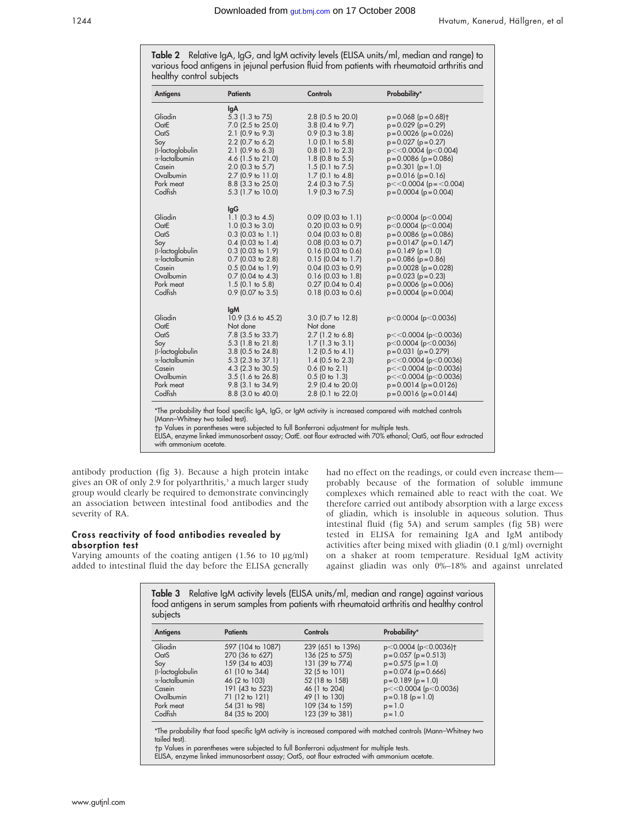Table 2 Relative IgA, IgG, and IgM activity levels (ELISA units/ml, median and range) to various food antigens in jejunal perfusion fluid from patients with rheumatoid arthritis and healthy control subjects

| <b>Antigens</b>                 | <b>Patients</b>                            | Controls                                   | Probability*                                                   |
|---------------------------------|--------------------------------------------|--------------------------------------------|----------------------------------------------------------------|
|                                 | lgA                                        |                                            |                                                                |
| Gliadin                         | 5.3 (1.3 to 75)                            | 2.8 (0.5 to 20.0)                          | $p = 0.068$ ( $p = 0.68$ ) <sup>+</sup>                        |
| OatE                            | 7.0 (2.5 to 25.0)                          | 3.8 (0.4 to 9.7)                           | $p = 0.029$ ( $p = 0.29$ )                                     |
| OatS                            | $2.1$ (0.9 to 9.3)                         | $0.9$ (0.3 to 3.8)                         | $p = 0.0026$ ( $p = 0.026$ )                                   |
| Soy                             | $2.2$ (0.7 to 6.2)                         | $1.0$ (0.1 to 5.8)                         | $p = 0.027$ ( $p = 0.27$ )                                     |
| $\beta$ -lactoglobulin          | $2.1$ (0.9 to 6.3)                         | $0.8$ (0.1 to 2.3)                         | $p < 0.0004$ ( $p < 0.004$ )                                   |
| $\alpha$ -lactalbumin<br>Casein | 4.6 $(1.5 \text{ to } 21.0)$               | $1.8$ (0.8 to 5.5)                         | $p = 0.0086$ ( $p = 0.086$ )                                   |
| Ovalbumin                       | $2.0$ (0.3 to 5.7)<br>$2.7$ (0.9 to 11.0)  | $1.5$ (0.1 to 7.5)<br>$1.7$ (0.1 to 4.8)   | $p = 0.301$ ( $p = 1.0$ )<br>$p = 0.016$ ( $p = 0.16$ )        |
| Pork meat                       | 8.8 (3.3 to 25.0)                          | $2.4$ (0.3 to 7.5)                         | $p \ll 0.0004$ ( $p = \ll 0.004$ )                             |
| Codfish                         | 5.3 (1.7 to 10.0)                          | 1.9 (0.3 to 7.5)                           | $p = 0.0004$ ( $p = 0.004$ )                                   |
|                                 |                                            |                                            |                                                                |
|                                 | lgG                                        |                                            |                                                                |
| Gliadin                         | 1.1 $(0.3 \text{ to } 4.5)$                | $0.09$ (0.03 to 1.1)                       | p<0.0004 (p<0.004)                                             |
| OatE                            | $1.0$ (0.3 to 3.0)                         | $0.20$ (0.03 to 0.9)                       | p<0.0004 (p<0.004)                                             |
| OatS                            | $0.3$ (0.03 to 1.1)                        | $0.04$ (0.03 to 0.8)                       | $p = 0.0086$ ( $p = 0.086$ )                                   |
| Soy                             | $0.4$ (0.03 to 1.4)                        | $0.08$ (0.03 to 0.7)                       | $p = 0.0147$ ( $p = 0.147$ )                                   |
| $\beta$ -lactoglobulin          | $0.3$ (0.03 to 1.9)                        | $0.16$ (0.03 to 0.6)                       | $p = 0.149$ ( $p = 1.0$ )                                      |
| $\alpha$ -lactalbumin           | $0.7$ (0.03 to 2.8)                        | $0.15$ (0.04 to 1.7)                       | $p = 0.086$ ( $p = 0.86$ )                                     |
| Casein<br>Ovalbumin             | $0.5$ (0.04 to 1.9)                        | $0.04$ (0.03 to 0.9)                       | $p = 0.0028$ ( $p = 0.028$ )                                   |
| Pork meat                       | $0.7$ (0.04 to 4.3)<br>$1.5$ (0.1 to 5.8)  | $0.16$ (0.03 to 1.8)<br>0.27 (0.04 to 0.4) | $p = 0.023 (p = 0.23)$<br>$p = 0.0006$ ( $p = 0.006$ )         |
| Codfish                         | $0.9$ (0.07 to 3.5)                        | $0.18$ (0.03 to 0.6)                       | $p = 0.0004$ ( $p = 0.004$ )                                   |
|                                 |                                            |                                            |                                                                |
|                                 | <b>IgM</b>                                 |                                            |                                                                |
| Gliadin                         | 10.9 (3.6 to 45.2)                         | 3.0 (0.7 to 12.8)                          | $p<0.0004$ ( $p<0.0036$ )                                      |
| OatE                            | Not done                                   | Not done                                   |                                                                |
| OatS                            | 7.8 (3.5 to 33.7)                          | $2.7$ (1.2 to 6.8)                         | $p \ll 0.0004$ ( $p \ll 0.0036$ )                              |
| Soy                             | $5.3$ (1.8 to 21.8)                        | $1.7(1.3 \text{ to } 3.1)$                 | $p<0.0004$ ( $p<0.0036$ )                                      |
| $\beta$ -lactoglobulin          | 3.8 (0.5 to 24.8)                          | $1.2$ (0.5 to 4.1)                         | $p = 0.031 (p = 0.279)$                                        |
| $\alpha$ -lactalbumin           | $5.3$ (2.3 to 37.1)                        | 1.4 $(0.5 \text{ to } 2.3)$                | $p \ll 0.0004$ ( $p \ll 0.0036$ )                              |
| Casein<br>Ovalbumin             | 4.3 (2.3 to 30.5)                          | $0.6$ (0 to 2.1)                           | p<<0.0004 (p<0.0036)                                           |
| Pork meat                       | $3.5$ (1.6 to 26.8)<br>$9.8$ (3.1 to 34.9) | $0.5$ (0 to 1.3)<br>2.9 (0.4 to 20.0)      | $p < 0.0004$ ( $p < 0.0036$ )<br>$p = 0.0014$ ( $p = 0.0126$ ) |
| Codfish                         | 8.8 (3.0 to 40.0)                          | 2.8 (0.1 to 22.0)                          | $p = 0.0016$ ( $p = 0.0144$ )                                  |
|                                 |                                            |                                            |                                                                |

ie probability that food specific IgA, IgG, or IgM activity is increased compared with matched controls (Mann–Whitney two tailed test).

p Values in parentheses were subjected to full Bonferroni adjustment for multiple tests.

ELISA, enzyme linked immunosorbent assay; OatE. oat flour extracted with 70% ethanol; OatS, oat flour extracted with ammonium acetate.

antibody production (fig 3). Because a high protein intake gives an OR of only 2.9 for polyarthritis,<sup>3</sup> a much larger study group would clearly be required to demonstrate convincingly an association between intestinal food antibodies and the severity of RA.

# Cross reactivity of food antibodies revealed by absorption test

Varying amounts of the coating antigen  $(1.56 \text{ to } 10 \text{ µg/ml})$ added to intestinal fluid the day before the ELISA generally had no effect on the readings, or could even increase them probably because of the formation of soluble immune complexes which remained able to react with the coat. We therefore carried out antibody absorption with a large excess of gliadin, which is insoluble in aqueous solution. Thus intestinal fluid (fig 5A) and serum samples (fig 5B) were tested in ELISA for remaining IgA and IgM antibody activities after being mixed with gliadin (0.1 g/ml) overnight on a shaker at room temperature. Residual IgM activity against gliadin was only 0%–18% and against unrelated

Table 3 Relative IgM activity levels (ELISA units/ml, median and range) against various food antigens in serum samples from patients with rheumatoid arthritis and healthy control subjects

| <b>Antigens</b>       | <b>Patients</b>   | Controls          | Probability*                      |
|-----------------------|-------------------|-------------------|-----------------------------------|
| Gliadin               | 597 (104 to 1087) | 239 (651 to 1396) | p<0.0004 (p<0.0036)†              |
| OatS                  | 270 (36 to 627)   | 136 (25 to 575)   | $p = 0.057$ ( $p = 0.513$ )       |
| Soy                   | 159 (34 to 403)   | 131 (39 to 774)   | $p = 0.575$ ( $p = 1.0$ )         |
| B-lactoglobulin       | 61 (10 to 344)    | 32 (5 to 101)     | $p = 0.074$ ( $p = 0.666$ )       |
| $\alpha$ -lactalbumin | 46 (2 to 103)     | 52 (18 to 158)    | $p = 0.189$ ( $p = 1.0$ )         |
| Casein                | 191 (43 to 523)   | 46 (1 to 204)     | $p \ll 0.0004$ ( $p \ll 0.0036$ ) |
| Ovalbumin             | 71 (12 to 121)    | 49 (1 to 130)     | $p = 0.18$ ( $p = 1.0$ )          |
| Pork meat             | 54 (31 to 98)     | 109 (34 to 159)   | $p = 1.0$                         |
| Codfish               | 84 (35 to 200)    | 123 (39 to 381)   | $p = 1.0$                         |

\*The probability that food specific IgM activity is increased compared with matched controls (Mann–Whitney two tailed test).

p Values in parentheses were subjected to full Bonferroni adjustment for multiple tests.

ELISA, enzyme linked immunosorbent assay; OatS, oat flour extracted with ammonium acetate.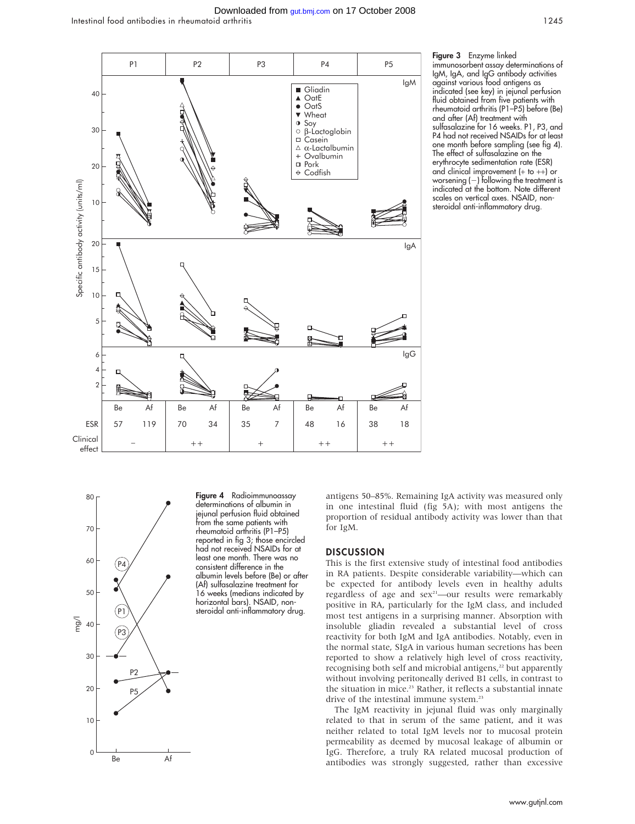#### Intestinal food antibodies in rheumatoid arthritis 1245 Downloaded from [gut.bmj.com](http://gut.bmj.com) on 17 October 2008



Figure 3 Enzyme linked immunosorbent assay determinations of IgM, IgA, and IgG antibody activities against various food antigens as indicated (see key) in jejunal perfusion fluid obtained from five patients with rheumatoid arthritis (P1–P5) before (Be) and after (Af) treatment with sulfasalazine for 16 weeks. P1, P3, and P4 had not received NSAIDs for at least one month before sampling (see fig 4). The effect of sulfasalazine on the erythrocyte sedimentation rate (ESR) and clinical improvement (+ to ++) or worsening  $(-)$  following the treatment is indicated at the bottom. Note different scales on vertical axes. NSAID, nonsteroidal anti-inflammatory drug.



Figure 4 Radioimmunoassay determinations of albumin in jejunal perfusion fluid obtained from the same patients with rheumatoid arthritis (P1–P5) reported in fig 3; those encircled had not received NSAIDs for at least one month. There was no consistent difference in the albumin levels before (Be) or after (Af) sulfasalazine treatment for 16 weeks (medians indicated by horizontal bars). NSAID, nonsteroidal anti-inflammatory drug.

antigens 50–85%. Remaining IgA activity was measured only in one intestinal fluid (fig 5A); with most antigens the proportion of residual antibody activity was lower than that for IgM.

# **DISCUSSION**

This is the first extensive study of intestinal food antibodies in RA patients. Despite considerable variability—which can be expected for antibody levels even in healthy adults regardless of age and  $sex^2$ —our results were remarkably positive in RA, particularly for the IgM class, and included most test antigens in a surprising manner. Absorption with insoluble gliadin revealed a substantial level of cross reactivity for both IgM and IgA antibodies. Notably, even in the normal state, SIgA in various human secretions has been reported to show a relatively high level of cross reactivity, recognising both self and microbial antigens,<sup>22</sup> but apparently without involving peritoneally derived B1 cells, in contrast to the situation in mice.<sup>23</sup> Rather, it reflects a substantial innate drive of the intestinal immune system.<sup>23</sup>

The IgM reactivity in jejunal fluid was only marginally related to that in serum of the same patient, and it was neither related to total IgM levels nor to mucosal protein permeability as deemed by mucosal leakage of albumin or IgG. Therefore, a truly RA related mucosal production of antibodies was strongly suggested, rather than excessive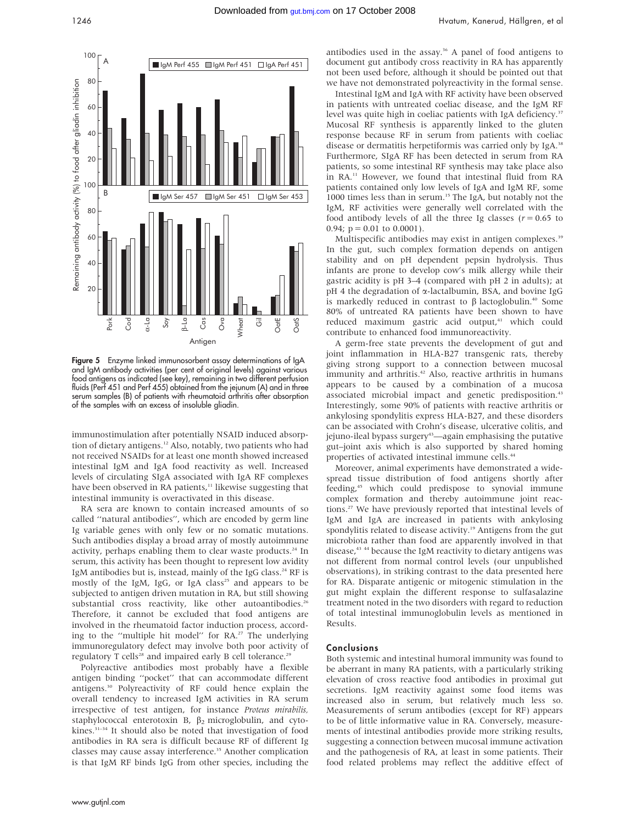

Figure 5 Enzyme linked immunosorbent assay determinations of IgA and IgM antibody activities (per cent of original levels) against various food antigens as indicated (see key), remaining in two different perfusion fluids (Perf 451 and Perf 455) obtained from the jejunum (A) and in three serum samples (B) of patients with rheumatoid arthritis after absorption of the samples with an excess of insoluble gliadin.

immunostimulation after potentially NSAID induced absorption of dietary antigens.12 Also, notably, two patients who had not received NSAIDs for at least one month showed increased intestinal IgM and IgA food reactivity as well. Increased levels of circulating SIgA associated with IgA RF complexes have been observed in RA patients,<sup>11</sup> likewise suggesting that intestinal immunity is overactivated in this disease.

RA sera are known to contain increased amounts of so called ''natural antibodies'', which are encoded by germ line Ig variable genes with only few or no somatic mutations. Such antibodies display a broad array of mostly autoimmune activity, perhaps enabling them to clear waste products.<sup>24</sup> In serum, this activity has been thought to represent low avidity IgM antibodies but is, instead, mainly of the IgG class.<sup>24</sup> RF is mostly of the IgM, IgG, or IgA class<sup>25</sup> and appears to be subjected to antigen driven mutation in RA, but still showing substantial cross reactivity, like other autoantibodies.<sup>2</sup> Therefore, it cannot be excluded that food antigens are involved in the rheumatoid factor induction process, according to the "multiple hit model" for RA.<sup>27</sup> The underlying immunoregulatory defect may involve both poor activity of regulatory T cells<sup>28</sup> and impaired early B cell tolerance.<sup>26</sup>

Polyreactive antibodies most probably have a flexible antigen binding ''pocket'' that can accommodate different antigens.30 Polyreactivity of RF could hence explain the overall tendency to increased IgM activities in RA serum irrespective of test antigen, for instance Proteus mirabilis, staphylococcal enterotoxin B,  $\beta_2$  microglobulin, and cytokines.<sup>31–34</sup> It should also be noted that investigation of food antibodies in RA sera is difficult because RF of different Ig classes may cause assay interference.<sup>35</sup> Another complication is that IgM RF binds IgG from other species, including the antibodies used in the assay.<sup>36</sup> A panel of food antigens to document gut antibody cross reactivity in RA has apparently not been used before, although it should be pointed out that we have not demonstrated polyreactivity in the formal sense.

Intestinal IgM and IgA with RF activity have been observed in patients with untreated coeliac disease, and the IgM RF level was quite high in coeliac patients with IgA deficiency.<sup>37</sup> Mucosal RF synthesis is apparently linked to the gluten response because RF in serum from patients with coeliac disease or dermatitis herpetiformis was carried only by IgA.<sup>38</sup> Furthermore, SIgA RF has been detected in serum from RA patients, so some intestinal RF synthesis may take place also in RA.11 However, we found that intestinal fluid from RA patients contained only low levels of IgA and IgM RF, some 1000 times less than in serum.<sup>15</sup> The IgA, but notably not the IgM, RF activities were generally well correlated with the food antibody levels of all the three Ig classes ( $r = 0.65$  to  $0.94$ ; p = 0.01 to 0.0001).

Multispecific antibodies may exist in antigen complexes.<sup>39</sup> In the gut, such complex formation depends on antigen stability and on pH dependent pepsin hydrolysis. Thus infants are prone to develop cow's milk allergy while their gastric acidity is pH 3–4 (compared with pH 2 in adults); at  $pH$  4 the degradation of  $\alpha$ -lactalbumin, BSA, and bovine IgG is markedly reduced in contrast to  $\beta$  lactoglobulin.<sup>40</sup> Some 80% of untreated RA patients have been shown to have reduced maximum gastric acid output,<sup>41</sup> which could contribute to enhanced food immunoreactivity.

A germ-free state prevents the development of gut and joint inflammation in HLA-B27 transgenic rats, thereby giving strong support to a connection between mucosal immunity and arthritis.<sup>42</sup> Also, reactive arthritis in humans appears to be caused by a combination of a mucosa associated microbial impact and genetic predisposition.<sup>43</sup> Interestingly, some 90% of patients with reactive arthritis or ankylosing spondylitis express HLA-B27, and these disorders can be associated with Crohn's disease, ulcerative colitis, and jejuno-ileal bypass surgery<sup>43</sup>—again emphasising the putative gut–joint axis which is also supported by shared homing properties of activated intestinal immune cells.<sup>44</sup>

Moreover, animal experiments have demonstrated a widespread tissue distribution of food antigens shortly after feeding,45 which could predispose to synovial immune complex formation and thereby autoimmune joint reactions.27 We have previously reported that intestinal levels of IgM and IgA are increased in patients with ankylosing spondylitis related to disease activity.<sup>19</sup> Antigens from the gut microbiota rather than food are apparently involved in that disease,<sup>43</sup> <sup>44</sup> because the IgM reactivity to dietary antigens was not different from normal control levels (our unpublished observations), in striking contrast to the data presented here for RA. Disparate antigenic or mitogenic stimulation in the gut might explain the different response to sulfasalazine treatment noted in the two disorders with regard to reduction of total intestinal immunoglobulin levels as mentioned in Results.

# Conclusions

Both systemic and intestinal humoral immunity was found to be aberrant in many RA patients, with a particularly striking elevation of cross reactive food antibodies in proximal gut secretions. IgM reactivity against some food items was increased also in serum, but relatively much less so. Measurements of serum antibodies (except for RF) appears to be of little informative value in RA. Conversely, measurements of intestinal antibodies provide more striking results, suggesting a connection between mucosal immune activation and the pathogenesis of RA, at least in some patients. Their food related problems may reflect the additive effect of